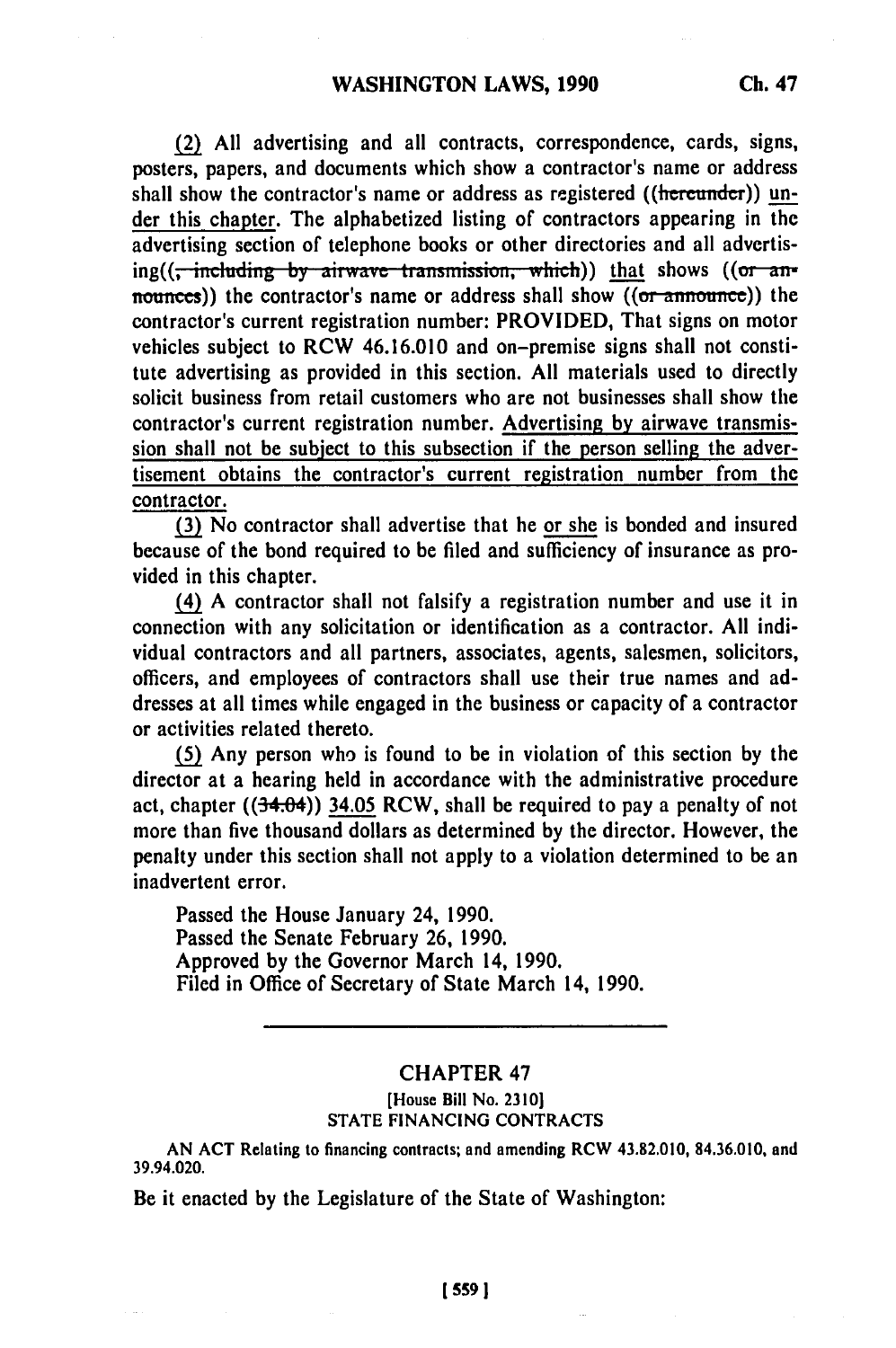**(2) All** advertising and all contracts, correspondence, cards, signs, posters, papers, and documents which show a contractor's name or address shall show the contractor's name or address as registered ((hereunder)) under this chapter. The alphabetized listing of contractors appearing in the advertising section of telephone books or other directories and all advertising((<del>, including by airwave transmission, which</del>)) that shows ((or announces)) the contractor's name or address shall show ((or announce)) the contractor's current registration number: PROVIDED, That signs on motor vehicles subject to RCW 46.16.010 and on-premise signs shall not constitute advertising as provided in this section. **All** materials used to directly solicit business from retail customers who are not businesses shall show the contractor's current registration number. Advertising **by** airwave transmission shall not be subject to this subsection if the person selling the advertisement obtains the contractor's current registration number from the contractor.

**(3)** No contractor shall advertise that he or she is bonded and insured because of the bond required to be filed and sufficiency of insurance as provided in this chapter.

(4) **A** contractor shall not falsify a registration number and use it in connection with any solicitation or identification as a contractor. **All** individual contractors and all partners, associates, agents, salesmen, solicitors, officers, and employees of contractors shall use their true names and addresses at all times while engaged in the business or capacity of a contractor or activities related thereto.

**(5)** Any person who is found to be in violation of this section **by** the director at a hearing held in accordance with the administrative procedure act, chapter  $((34.04))$  34.05 RCW, shall be required to pay a penalty of not more than five thousand dollars as determined **by** the director. However, the penalty under this section shall not apply to a violation determined to be an inadvertent error.

Passed the House January 24, **1990.** Passed the Senate February **26, 1990.** Approved **by** the Governor March 14, **1990.** Filed in Office of Secretary of State March 14, **1990.**

## CHAPTER 47

## [House Bill No. **2310] STATE FINANCING CONTRACTS**

**AN ACT** Relating to financing contracts; and amending RCW 43.82.010, **84.36.010,** and 39.94.020.

**Be** it enacted **by** the Legislature of the State of Washington: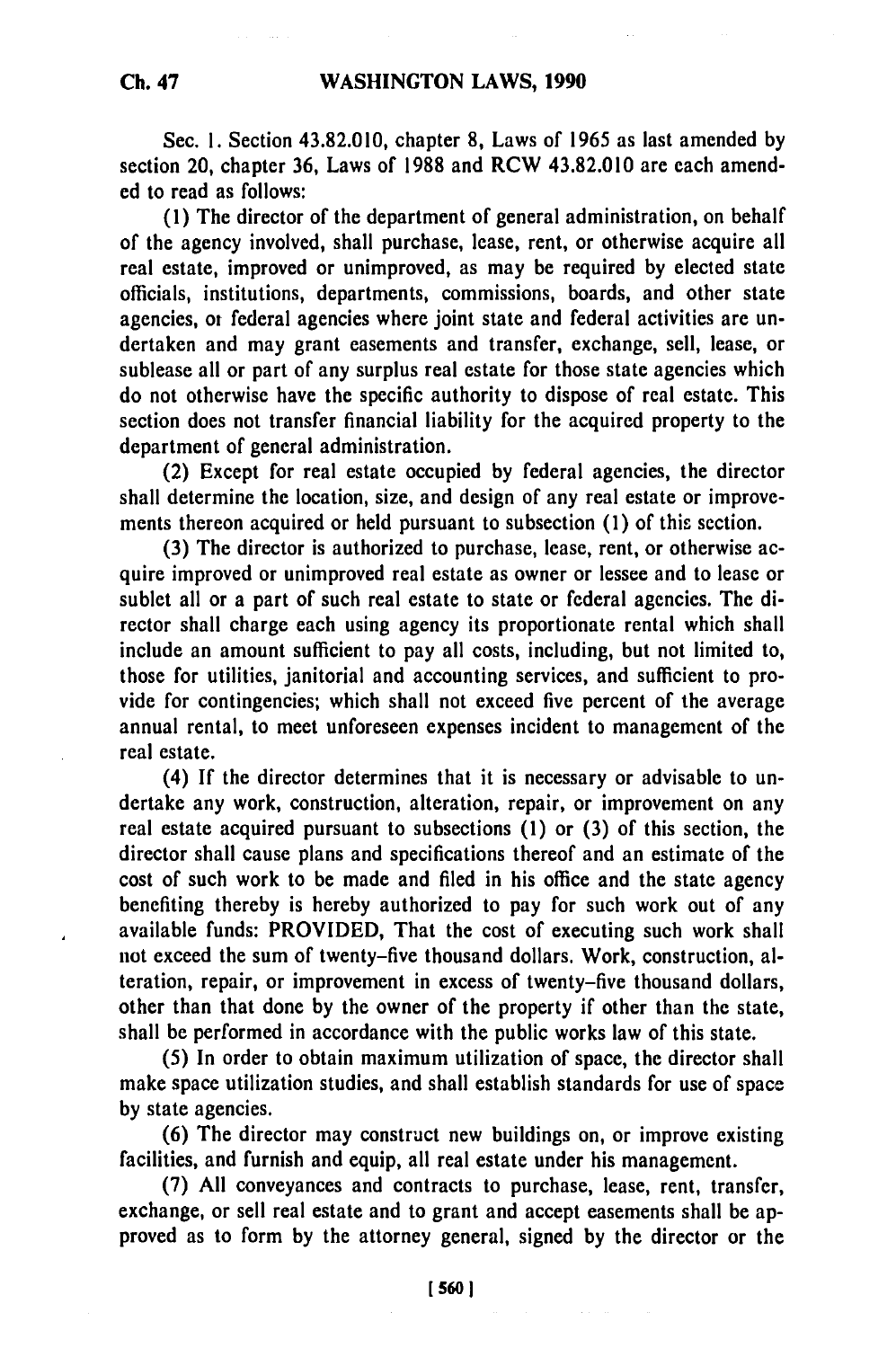Sec. **1.** Section 43.82.010, chapter **8,** Laws of **1965** as last amended **by** section 20, chapter **36,** Laws of **1988** and RCW 43.82.010 are each amended to read as follows:

**(1)** The director of the department of general administration, on behalf of the agency involved, shall purchase, lease, rent, or otherwise acquire all real estate, improved or unimproved, as may be required **by** elected state officials, institutions, departments, commissions, boards, and other state agencies, **ot** federal agencies where joint state and federal activities are undertaken and may grant easements and transfer, exchange, sell, lease, or sublease all or part of any surplus real estate for those state agencies which do not otherwise have the specific authority to dispose of real estate. This section does not transfer financial liability for the acquired property to the department of general administration.

(2) Except for real estate occupied **by** federal agencies, the director shall determine the location, size, and design of any real estate or improvements thereon acquired or held pursuant to subsection **(1)** of this section.

**(3)** The director is authorized to purchase, lease, rent, or otherwise acquire improved or unimproved real estate as owner or lessee and to lease or sublet all or a part of such real estate to state or federal agencies. The director shall charge each using agency its proportionate rental which shall include an amount sufficient to pay all costs, including, but not limited to, those for utilities, janitorial and accounting services, and sufficient to provide for contingencies; which shall not exceed five percent of the average annual rental, to meet unforeseen expenses incident to management of the real estate.

(4) **If** the director determines that it is necessary or advisable to undertake any work, construction, alteration, repair, or improvement on any real estate acquired pursuant to subsections **(1)** or **(3)** of this section, the director shall cause plans and specifications thereof and an estimate of the cost of such work to be made and filed in his office and the state agency benefiting thereby is hereby authorized to pay for such work out of any available funds: PROVIDED, That the cost of executing such work shall not exceed the sum of twenty-five thousand dollars. Work, construction, alteration, repair, or improvement in excess of twenty-five thousand dollars, other than that done **by** the owner of the property if other than the state, shall be performed in accordance with the public works law of this state.

**(5)** In order to obtain maximum utilization of space, the director shall make space utilization studies, and shall establish standards for use of space **by** state agencies.

**(6)** The director may construct new buildings on, or improve existing facilities, and furnish and equip, all real estate under his management.

**(7) All** conveyances and contracts to purchase, lease, rent, transfer, exchange, or sell real estate and to grant and accept easements shall be approved as to form **by** the attorney general, signed **by** the director or the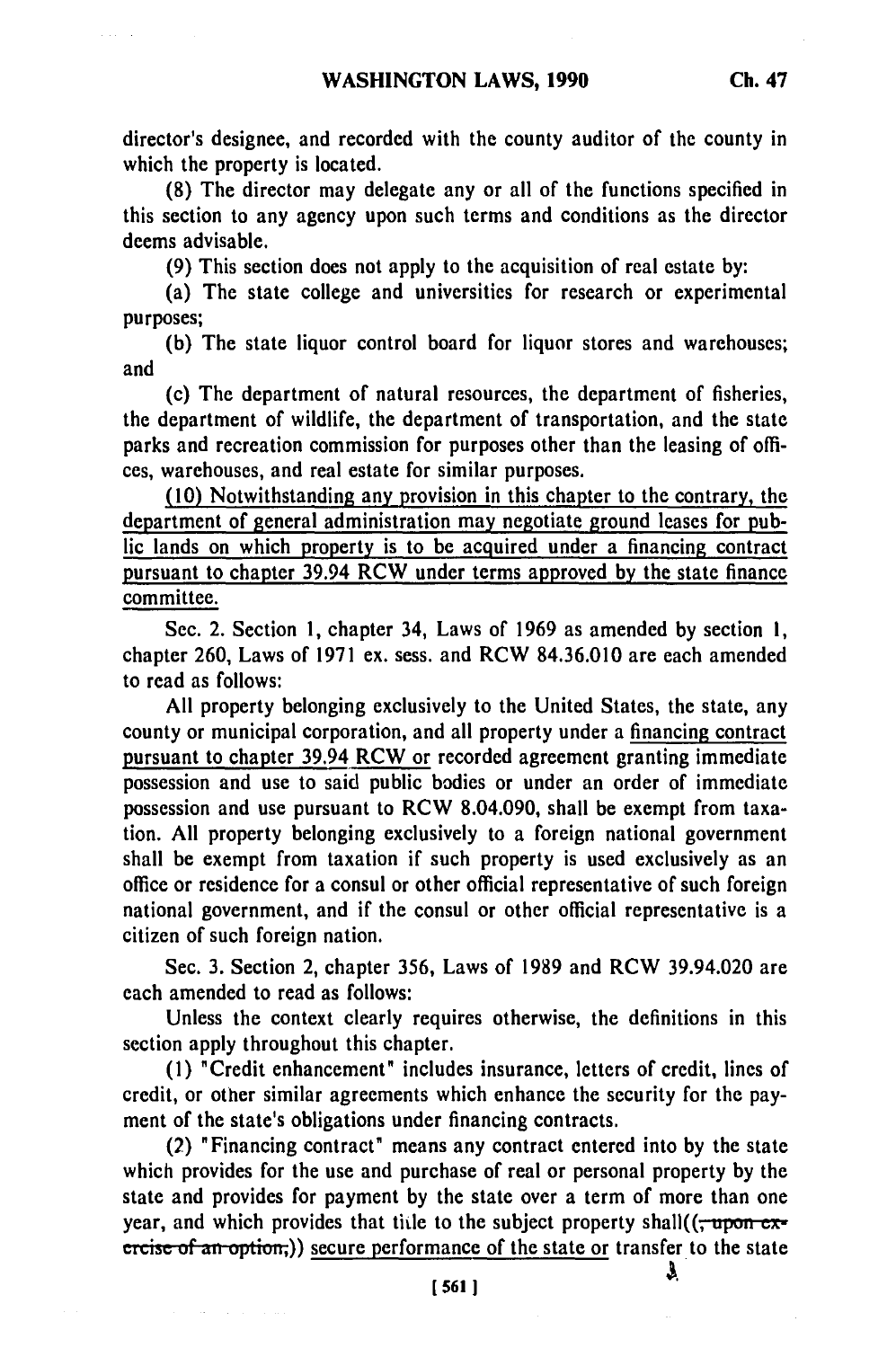director's designee, and recorded with the county auditor of the county in which the property is located.

**(8)** The director may delegate any or all of the functions specified in this section to any agency upon such terms and conditions as the director deems advisable.

**(9)** This section does not apply to the acquisition of real estate **by:**

(a) The state college and universities for research or experimental purposes;

**(b)** The state liquor control board for liquor stores and warehouses; and

(c) The department of natural resources, the department of fisheries, the department of wildlife, the department of transportation, and the state parks and recreation commission for purposes other than the leasing of offices, warehouses, and real estate for similar purposes.

**(10)** Notwithstanding any provision in this chapter to the contrary, the department of general administration may negotiate ground leases for public lands on which property is to be acquired under a financing contract pursuant to chapter 39.94 RCW under terms approved **by** the state finance committee.

Sec. 2. Section **1,** chapter 34, Laws of **1969** as amended **by** section **1,** chapter **260,** Laws of **1971** ex. sess. and RCW **84.36.010** are each amended to read as follows:

**All** property belonging exclusively to the United States, the state, any county or municipal corporation, and all property under a financing contract pursuant to chapter **39.94** RCW or recorded agreement granting immediate possession and use to said public bodies or under an order of immediate possession and use pursuant to RCW 8.04.090, shall be exempt from taxation. **All** property belonging exclusively to a foreign national government shall be exempt from taxation if such property is used exclusively as an office or residence for a consul or other official representative of such foreign national government, and if the consul or other official representative is a citizen of such foreign nation.

Sec. **3.** Section 2, chapter **356,** Laws of **1989** and RCW 39.94.020 are each amended to read as follows:

Unless the context clearly requires otherwise, the definitions in this section apply throughout this chapter.

**(1)** "Credit enhancement" includes insurance, letters of credit, lines of credit, or other similar agreements which enhance the security for the payment of the state's obligations under financing contracts.

(2) "Financing contract" means any contract entered into by the state which provides for the use and purchase of real or personal property **by** the state and provides for payment **by** the state over a term of more than one year, and which provides that title to the subject property shall( $(\tau$ upon exercise of an option;)) secure performance of the state or transfer to the state

**[5611**

J.